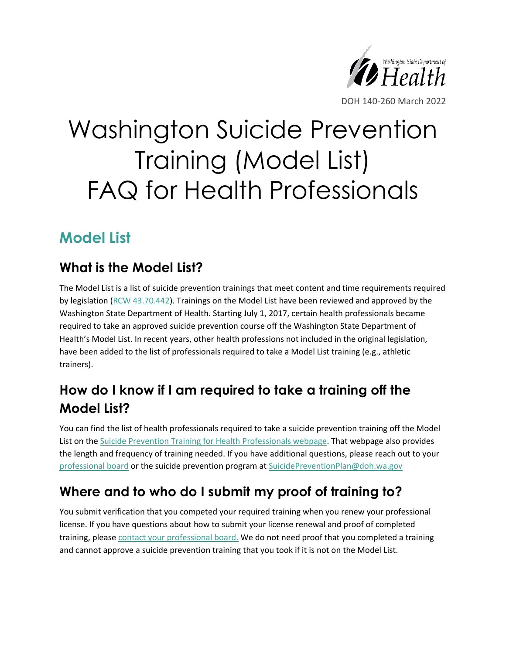

# Washington Suicide Prevention Training (Model List) FAQ for Health Professionals

# **Model List**

#### **What is the Model List?**

The Model List is a list of suicide prevention trainings that meet content and time requirements required by legislation [\(RCW 43.70.442\)](https://app.leg.wa.gov/rcw/default.aspx?cite=43.70.442). Trainings on the Model List have been reviewed and approved by the Washington State Department of Health. Starting July 1, 2017, certain health professionals became required to take an approved suicide prevention course off the Washington State Department of Health's Model List. In recent years, other health professions not included in the original legislation, have been added to the list of professionals required to take a Model List training (e.g., athletic trainers).

# **How do I know if I am required to take a training off the Model List?**

You can find the list of health professionals required to take a suicide prevention training off the Model List on the [Suicide Prevention Training for Health Professionals webpage.](https://doh.wa.gov/public-health-healthcare-providers/healthcare-professions-and-facilities/suicide-prevention/training-requirements) That webpage also provides the length and frequency of training needed. If you have additional questions, please reach out to your [professional board](https://doh.wa.gov/licenses-permits-and-certificates/professions-new-renew-or-update) or the suicide prevention program at [SuicidePreventionPlan@doh.wa.gov](mailto:SuicidePreventionPlan@doh.wa.gov)

# **Where and to who do I submit my proof of training to?**

You submit verification that you competed your required training when you renew your professional license. If you have questions about how to submit your license renewal and proof of completed training, please [contact your professional board.](https://doh.wa.gov/licenses-permits-and-certificates/professions-new-renew-or-update) We do not need proof that you completed a training and cannot approve a suicide prevention training that you took if it is not on the Model List.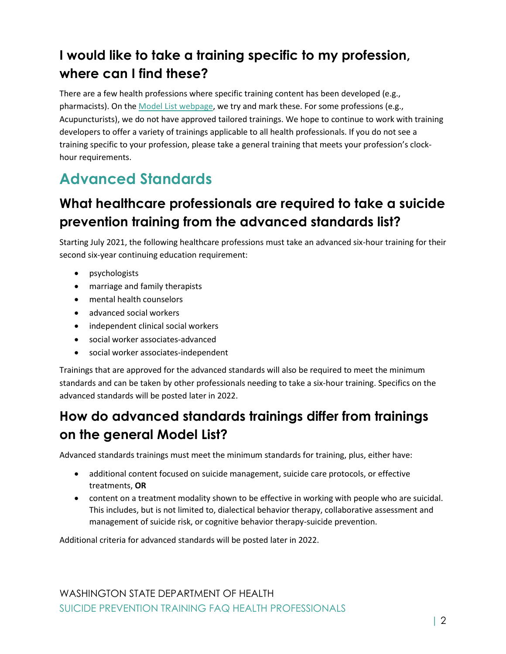## **I would like to take a training specific to my profession, where can I find these?**

There are a few health professions where specific training content has been developed (e.g., pharmacists). On the [Model List webpage,](https://doh.wa.gov/public-health-healthcare-providers/healthcare-professions-and-facilities/suicide-prevention/training-programs/model-list) we try and mark these. For some professions (e.g., Acupuncturists), we do not have approved tailored trainings. We hope to continue to work with training developers to offer a variety of trainings applicable to all health professionals. If you do not see a training specific to your profession, please take a general training that meets your profession's clockhour requirements.

# **Advanced Standards**

#### **What healthcare professionals are required to take a suicide prevention training from the advanced standards list?**

Starting July 2021, the following healthcare professions must take an advanced six-hour training for their second six-year continuing education requirement:

- psychologists
- marriage and family therapists
- mental health counselors
- advanced social workers
- independent clinical social workers
- social worker associates-advanced
- social worker associates-independent

Trainings that are approved for the advanced standards will also be required to meet the minimum standards and can be taken by other professionals needing to take a six-hour training. Specifics on the advanced standards will be posted later in 2022.

## **How do advanced standards trainings differ from trainings on the general Model List?**

Advanced standards trainings must meet the minimum standards for training, plus, either have:

- additional content focused on suicide management, suicide care protocols, or effective treatments, **OR**
- content on a treatment modality shown to be effective in working with people who are suicidal. This includes, but is not limited to, dialectical behavior therapy, collaborative assessment and management of suicide risk, or cognitive behavior therapy-suicide prevention.

Additional criteria for advanced standards will be posted later in 2022.